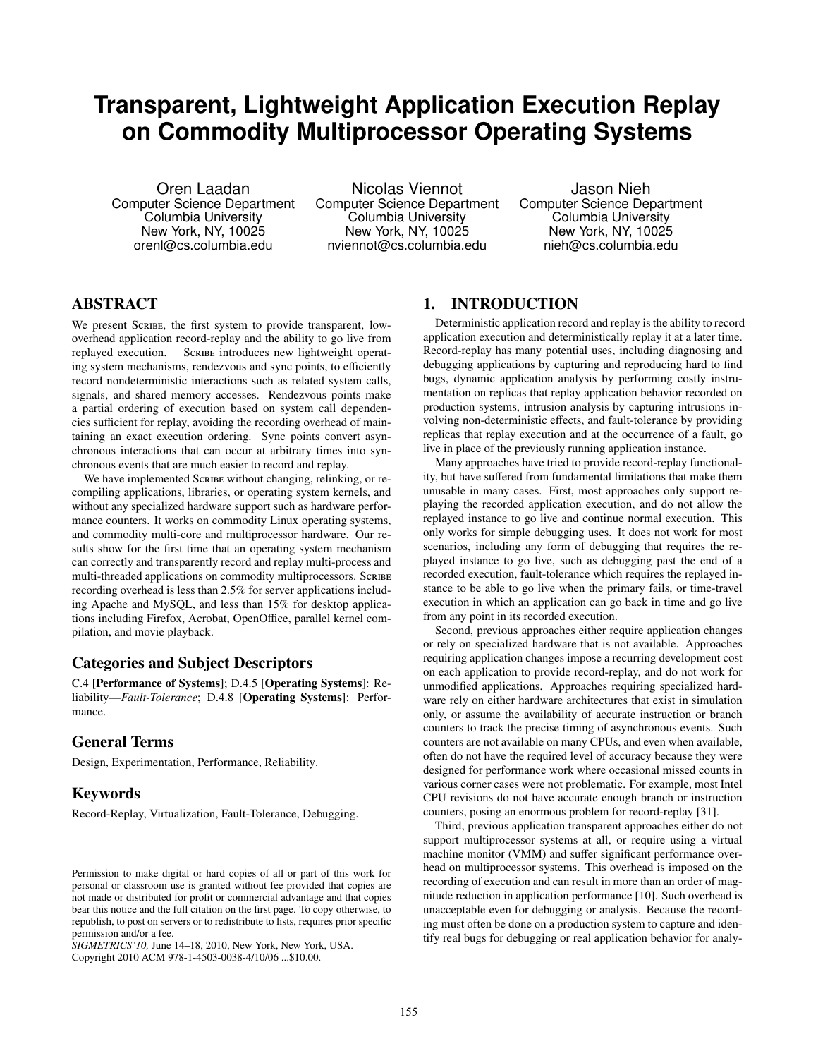# **Transparent, Lightweight Application Execution Replay on Commodity Multiprocessor Operating Systems**

Oren Laadan Computer Science Department Columbia University New York, NY, 10025 orenl@cs.columbia.edu

Nicolas Viennot Computer Science Department Columbia University New York, NY, 10025 nviennot@cs.columbia.edu

Jason Nieh Computer Science Department Columbia University New York, NY, 10025 nieh@cs.columbia.edu

# ABSTRACT

We present SCRIBE, the first system to provide transparent, lowoverhead application record-replay and the ability to go live from replayed execution. SCRIBE introduces new lightweight operating system mechanisms, rendezvous and sync points, to efficiently record nondeterministic interactions such as related system calls, signals, and shared memory accesses. Rendezvous points make a partial ordering of execution based on system call dependencies sufficient for replay, avoiding the recording overhead of maintaining an exact execution ordering. Sync points convert asynchronous interactions that can occur at arbitrary times into synchronous events that are much easier to record and replay.

We have implemented SCRIBE without changing, relinking, or recompiling applications, libraries, or operating system kernels, and without any specialized hardware support such as hardware performance counters. It works on commodity Linux operating systems, and commodity multi-core and multiprocessor hardware. Our results show for the first time that an operating system mechanism can correctly and transparently record and replay multi-process and multi-threaded applications on commodity multiprocessors. S recording overhead is less than 2.5% for server applications including Apache and MySQL, and less than 15% for desktop applications including Firefox, Acrobat, OpenOffice, parallel kernel compilation, and movie playback.

#### Categories and Subject Descriptors

C.4 [Performance of Systems]; D.4.5 [Operating Systems]: Reliability—*Fault-Tolerance*; D.4.8 [Operating Systems]: Performance.

# General Terms

Design, Experimentation, Performance, Reliability.

## Keywords

Record-Replay, Virtualization, Fault-Tolerance, Debugging.

*SIGMETRICS'10,* June 14–18, 2010, New York, New York, USA. Copyright 2010 ACM 978-1-4503-0038-4/10/06 ...\$10.00.

# 1. INTRODUCTION

Deterministic application record and replay is the ability to record application execution and deterministically replay it at a later time. Record-replay has many potential uses, including diagnosing and debugging applications by capturing and reproducing hard to find bugs, dynamic application analysis by performing costly instrumentation on replicas that replay application behavior recorded on production systems, intrusion analysis by capturing intrusions involving non-deterministic effects, and fault-tolerance by providing replicas that replay execution and at the occurrence of a fault, go live in place of the previously running application instance.

Many approaches have tried to provide record-replay functionality, but have suffered from fundamental limitations that make them unusable in many cases. First, most approaches only support replaying the recorded application execution, and do not allow the replayed instance to go live and continue normal execution. This only works for simple debugging uses. It does not work for most scenarios, including any form of debugging that requires the replayed instance to go live, such as debugging past the end of a recorded execution, fault-tolerance which requires the replayed instance to be able to go live when the primary fails, or time-travel execution in which an application can go back in time and go live from any point in its recorded execution.

Second, previous approaches either require application changes or rely on specialized hardware that is not available. Approaches requiring application changes impose a recurring development cost on each application to provide record-replay, and do not work for unmodified applications. Approaches requiring specialized hardware rely on either hardware architectures that exist in simulation only, or assume the availability of accurate instruction or branch counters to track the precise timing of asynchronous events. Such counters are not available on many CPUs, and even when available, often do not have the required level of accuracy because they were designed for performance work where occasional missed counts in various corner cases were not problematic. For example, most Intel CPU revisions do not have accurate enough branch or instruction counters, posing an enormous problem for record-replay [31].

Third, previous application transparent approaches either do not support multiprocessor systems at all, or require using a virtual machine monitor (VMM) and suffer significant performance overhead on multiprocessor systems. This overhead is imposed on the recording of execution and can result in more than an order of magnitude reduction in application performance [10]. Such overhead is unacceptable even for debugging or analysis. Because the recording must often be done on a production system to capture and identify real bugs for debugging or real application behavior for analy-

Permission to make digital or hard copies of all or part of this work for personal or classroom use is granted without fee provided that copies are not made or distributed for profit or commercial advantage and that copies bear this notice and the full citation on the first page. To copy otherwise, to republish, to post on servers or to redistribute to lists, requires prior specific permission and/or a fee.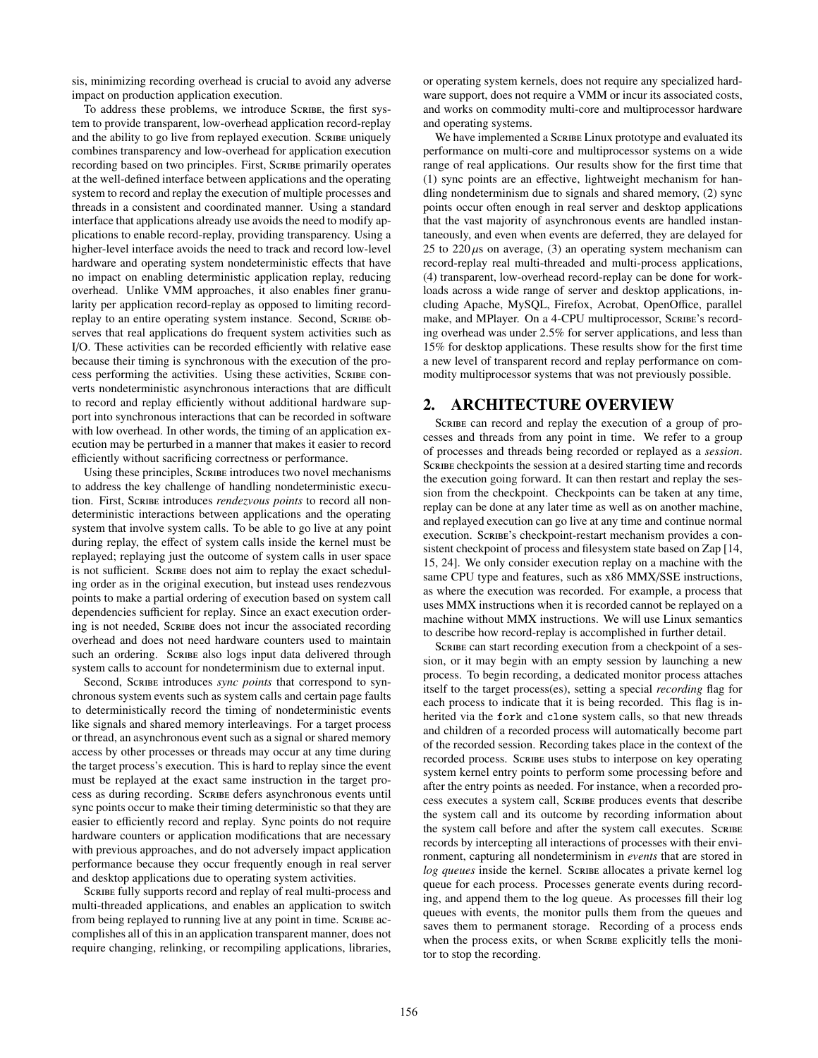sis, minimizing recording overhead is crucial to avoid any adverse impact on production application execution.

To address these problems, we introduce SCRIBE, the first system to provide transparent, low-overhead application record-replay and the ability to go live from replayed execution. SCRIBE uniquely combines transparency and low-overhead for application execution recording based on two principles. First, SCRIBE primarily operates at the well-defined interface between applications and the operating system to record and replay the execution of multiple processes and threads in a consistent and coordinated manner. Using a standard interface that applications already use avoids the need to modify applications to enable record-replay, providing transparency. Using a higher-level interface avoids the need to track and record low-level hardware and operating system nondeterministic effects that have no impact on enabling deterministic application replay, reducing overhead. Unlike VMM approaches, it also enables finer granularity per application record-replay as opposed to limiting recordreplay to an entire operating system instance. Second, SCRIBE observes that real applications do frequent system activities such as I/O. These activities can be recorded efficiently with relative ease because their timing is synchronous with the execution of the process performing the activities. Using these activities, SCRIBE converts nondeterministic asynchronous interactions that are difficult to record and replay efficiently without additional hardware support into synchronous interactions that can be recorded in software with low overhead. In other words, the timing of an application execution may be perturbed in a manner that makes it easier to record efficiently without sacrificing correctness or performance.

Using these principles, SCRIBE introduces two novel mechanisms to address the key challenge of handling nondeterministic execution. First, SCRIBE introduces *rendezvous points* to record all nondeterministic interactions between applications and the operating system that involve system calls. To be able to go live at any point during replay, the effect of system calls inside the kernel must be replayed; replaying just the outcome of system calls in user space is not sufficient. SCRIBE does not aim to replay the exact scheduling order as in the original execution, but instead uses rendezvous points to make a partial ordering of execution based on system call dependencies sufficient for replay. Since an exact execution ordering is not needed, SCRIBE does not incur the associated recording overhead and does not need hardware counters used to maintain such an ordering. SCRIBE also logs input data delivered through system calls to account for nondeterminism due to external input.

Second, SCRIBE introduces *sync points* that correspond to synchronous system events such as system calls and certain page faults to deterministically record the timing of nondeterministic events like signals and shared memory interleavings. For a target process or thread, an asynchronous event such as a signal or shared memory access by other processes or threads may occur at any time during the target process's execution. This is hard to replay since the event must be replayed at the exact same instruction in the target process as during recording. SCRIBE defers asynchronous events until sync points occur to make their timing deterministic so that they are easier to efficiently record and replay. Sync points do not require hardware counters or application modifications that are necessary with previous approaches, and do not adversely impact application performance because they occur frequently enough in real server and desktop applications due to operating system activities.

SCRIBE fully supports record and replay of real multi-process and multi-threaded applications, and enables an application to switch from being replayed to running live at any point in time. SCRIBE accomplishes all of this in an application transparent manner, does not require changing, relinking, or recompiling applications, libraries,

or operating system kernels, does not require any specialized hardware support, does not require a VMM or incur its associated costs, and works on commodity multi-core and multiprocessor hardware and operating systems.

We have implemented a SCRIBE Linux prototype and evaluated its performance on multi-core and multiprocessor systems on a wide range of real applications. Our results show for the first time that (1) sync points are an effective, lightweight mechanism for handling nondeterminism due to signals and shared memory, (2) sync points occur often enough in real server and desktop applications that the vast majority of asynchronous events are handled instantaneously, and even when events are deferred, they are delayed for 25 to  $220 \mu s$  on average, (3) an operating system mechanism can record-replay real multi-threaded and multi-process applications, (4) transparent, low-overhead record-replay can be done for workloads across a wide range of server and desktop applications, including Apache, MySQL, Firefox, Acrobat, OpenOffice, parallel make, and MPlayer. On a 4-CPU multiprocessor, SCRIBE's recording overhead was under 2.5% for server applications, and less than 15% for desktop applications. These results show for the first time a new level of transparent record and replay performance on commodity multiprocessor systems that was not previously possible.

## 2. ARCHITECTURE OVERVIEW

SCRIBE can record and replay the execution of a group of processes and threads from any point in time. We refer to a group of processes and threads being recorded or replayed as a *session*. SCRIBE checkpoints the session at a desired starting time and records the execution going forward. It can then restart and replay the session from the checkpoint. Checkpoints can be taken at any time, replay can be done at any later time as well as on another machine, and replayed execution can go live at any time and continue normal execution. SCRIBE's checkpoint-restart mechanism provides a consistent checkpoint of process and filesystem state based on Zap [14, 15, 24]. We only consider execution replay on a machine with the same CPU type and features, such as x86 MMX/SSE instructions, as where the execution was recorded. For example, a process that uses MMX instructions when it is recorded cannot be replayed on a machine without MMX instructions. We will use Linux semantics to describe how record-replay is accomplished in further detail.

SCRIBE can start recording execution from a checkpoint of a session, or it may begin with an empty session by launching a new process. To begin recording, a dedicated monitor process attaches itself to the target process(es), setting a special *recording* flag for each process to indicate that it is being recorded. This flag is inherited via the fork and clone system calls, so that new threads and children of a recorded process will automatically become part of the recorded session. Recording takes place in the context of the recorded process. SCRIBE uses stubs to interpose on key operating system kernel entry points to perform some processing before and after the entry points as needed. For instance, when a recorded process executes a system call, SCRIBE produces events that describe the system call and its outcome by recording information about the system call before and after the system call executes. S records by intercepting all interactions of processes with their environment, capturing all nondeterminism in *events* that are stored in *log queues* inside the kernel. SCRIBE allocates a private kernel log queue for each process. Processes generate events during recording, and append them to the log queue. As processes fill their log queues with events, the monitor pulls them from the queues and saves them to permanent storage. Recording of a process ends when the process exits, or when SCRIBE explicitly tells the monitor to stop the recording.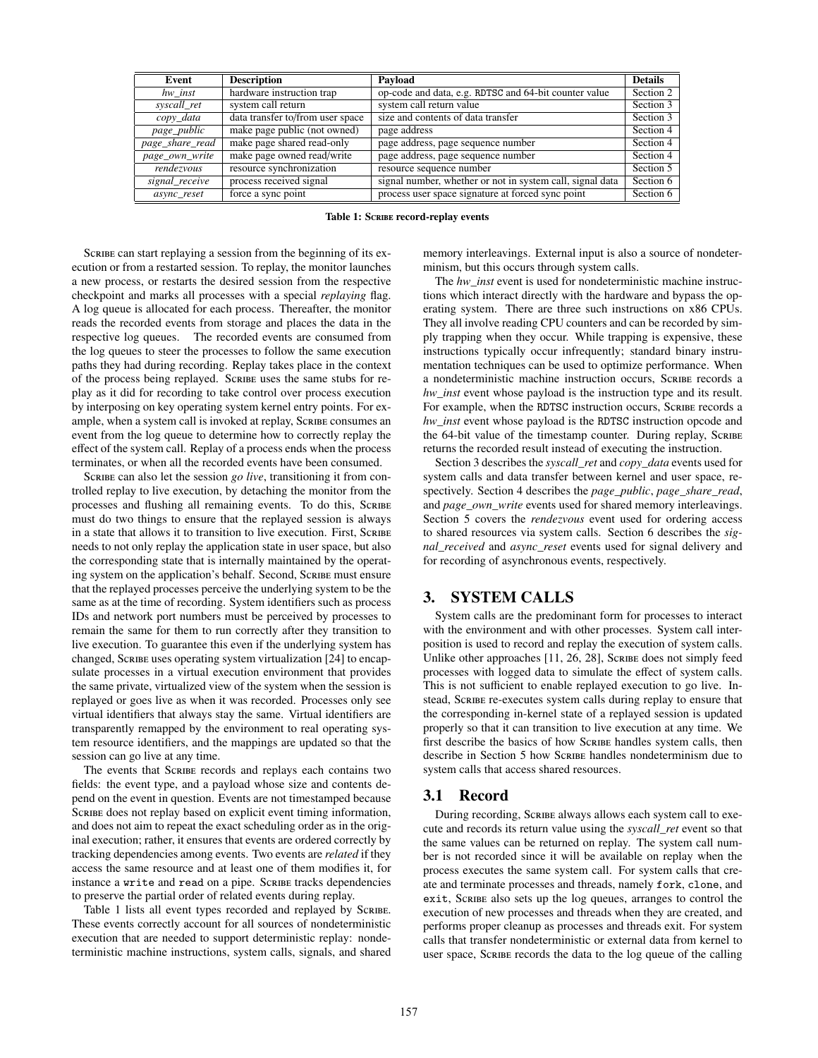| Event           | <b>Description</b>               | Payload                                                   | <b>Details</b> |
|-----------------|----------------------------------|-----------------------------------------------------------|----------------|
| hw inst         | hardware instruction trap        | op-code and data, e.g. RDTSC and 64-bit counter value     | Section 2      |
| syscall ret     | system call return               | system call return value                                  | Section 3      |
| copy_data       | data transfer to/from user space | size and contents of data transfer                        | Section 3      |
| page_public     | make page public (not owned)     | page address                                              | Section 4      |
| page_share_read | make page shared read-only       | page address, page sequence number                        | Section 4      |
| page_own_write  | make page owned read/write       | page address, page sequence number                        | Section 4      |
| rendezvous      | resource synchronization         | resource sequence number                                  | Section 5      |
| signal_receive  | process received signal          | signal number, whether or not in system call, signal data | Section 6      |
| async_reset     | force a sync point               | process user space signature at forced sync point         | Section 6      |

Table 1: SCRIBE record-replay events

SCRIBE can start replaying a session from the beginning of its execution or from a restarted session. To replay, the monitor launches a new process, or restarts the desired session from the respective checkpoint and marks all processes with a special *replaying* flag. A log queue is allocated for each process. Thereafter, the monitor reads the recorded events from storage and places the data in the respective log queues. The recorded events are consumed from the log queues to steer the processes to follow the same execution paths they had during recording. Replay takes place in the context of the process being replayed. SCRIBE uses the same stubs for replay as it did for recording to take control over process execution by interposing on key operating system kernel entry points. For example, when a system call is invoked at replay, SCRIBE consumes an event from the log queue to determine how to correctly replay the effect of the system call. Replay of a process ends when the process terminates, or when all the recorded events have been consumed.

SCRIBE can also let the session *go live*, transitioning it from controlled replay to live execution, by detaching the monitor from the processes and flushing all remaining events. To do this, S must do two things to ensure that the replayed session is always in a state that allows it to transition to live execution. First, S needs to not only replay the application state in user space, but also the corresponding state that is internally maintained by the operating system on the application's behalf. Second, SCRIBE must ensure that the replayed processes perceive the underlying system to be the same as at the time of recording. System identifiers such as process IDs and network port numbers must be perceived by processes to remain the same for them to run correctly after they transition to live execution. To guarantee this even if the underlying system has changed, SCRIBE uses operating system virtualization [24] to encapsulate processes in a virtual execution environment that provides the same private, virtualized view of the system when the session is replayed or goes live as when it was recorded. Processes only see virtual identifiers that always stay the same. Virtual identifiers are transparently remapped by the environment to real operating system resource identifiers, and the mappings are updated so that the session can go live at any time.

The events that SCRIBE records and replays each contains two fields: the event type, and a payload whose size and contents depend on the event in question. Events are not timestamped because SCRIBE does not replay based on explicit event timing information, and does not aim to repeat the exact scheduling order as in the original execution; rather, it ensures that events are ordered correctly by tracking dependencies among events. Two events are *related* if they access the same resource and at least one of them modifies it, for instance a write and read on a pipe. SCRIBE tracks dependencies to preserve the partial order of related events during replay.

Table 1 lists all event types recorded and replayed by SCRIBE. These events correctly account for all sources of nondeterministic execution that are needed to support deterministic replay: nondeterministic machine instructions, system calls, signals, and shared memory interleavings. External input is also a source of nondeterminism, but this occurs through system calls.

The *hw\_inst* event is used for nondeterministic machine instructions which interact directly with the hardware and bypass the operating system. There are three such instructions on x86 CPUs. They all involve reading CPU counters and can be recorded by simply trapping when they occur. While trapping is expensive, these instructions typically occur infrequently; standard binary instrumentation techniques can be used to optimize performance. When a nondeterministic machine instruction occurs, SCRIBE records a *hw\_inst* event whose payload is the instruction type and its result. For example, when the RDTSC instruction occurs, SCRIBE records a *hw\_inst* event whose payload is the RDTSC instruction opcode and the 64-bit value of the timestamp counter. During replay, S returns the recorded result instead of executing the instruction.

Section 3 describes the *syscall\_ret* and *copy\_data* events used for system calls and data transfer between kernel and user space, respectively. Section 4 describes the *page\_public*, *page\_share\_read*, and *page\_own\_write* events used for shared memory interleavings. Section 5 covers the *rendezvous* event used for ordering access to shared resources via system calls. Section 6 describes the *signal\_received* and *async\_reset* events used for signal delivery and for recording of asynchronous events, respectively.

# 3. SYSTEM CALLS

System calls are the predominant form for processes to interact with the environment and with other processes. System call interposition is used to record and replay the execution of system calls. Unlike other approaches [11, 26, 28], SCRIBE does not simply feed processes with logged data to simulate the effect of system calls. This is not sufficient to enable replayed execution to go live. Instead, SCRIBE re-executes system calls during replay to ensure that the corresponding in-kernel state of a replayed session is updated properly so that it can transition to live execution at any time. We first describe the basics of how SCRIBE handles system calls, then describe in Section 5 how SCRIBE handles nondeterminism due to system calls that access shared resources.

#### 3.1 Record

During recording, SCRIBE always allows each system call to execute and records its return value using the *syscall\_ret* event so that the same values can be returned on replay. The system call number is not recorded since it will be available on replay when the process executes the same system call. For system calls that create and terminate processes and threads, namely fork, clone, and exit, SCRIBE also sets up the log queues, arranges to control the execution of new processes and threads when they are created, and performs proper cleanup as processes and threads exit. For system calls that transfer nondeterministic or external data from kernel to user space, SCRIBE records the data to the log queue of the calling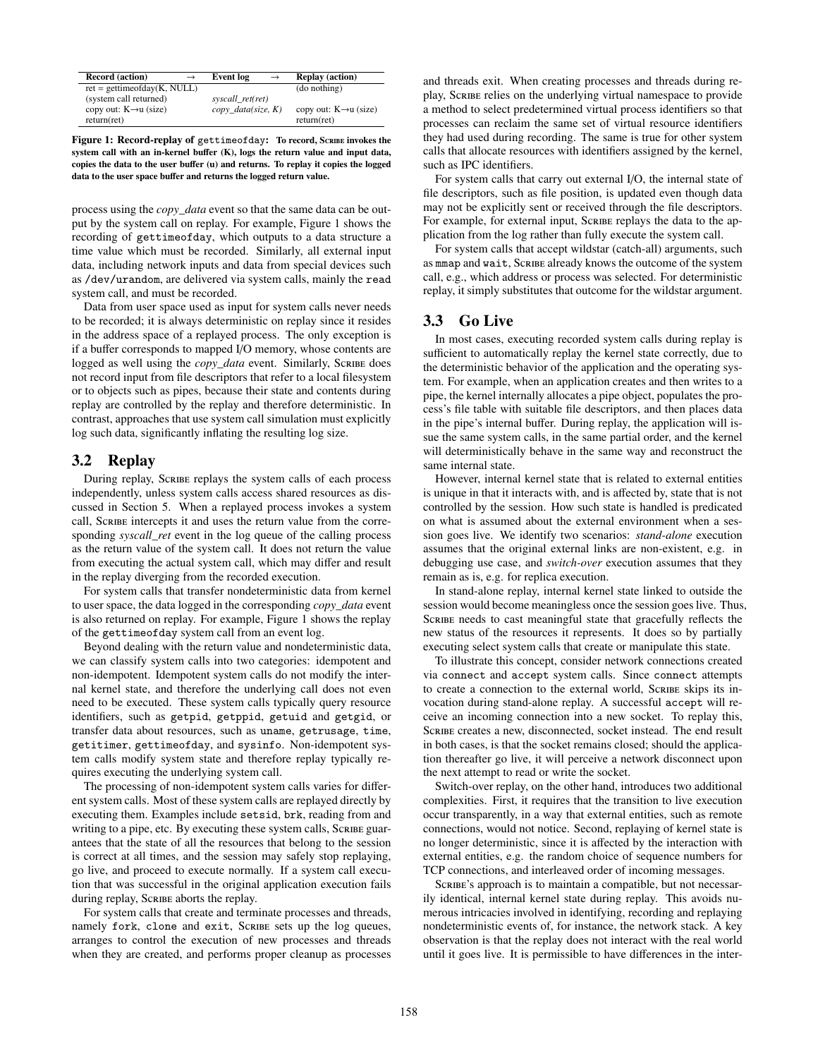| <b>Record (action)</b><br>$\rightarrow$ | Event log<br>$\rightarrow$ | <b>Replay (action)</b>             |
|-----------------------------------------|----------------------------|------------------------------------|
| $ret = gettimeofday(K, NULL)$           |                            | (do nothing)                       |
| (system call returned)                  | syscall ret(ret)           |                                    |
| copy out: $K \rightarrow u$ (size)      | $copy$ data(size, $K$ )    | copy out: $K \rightarrow u$ (size) |
| return (ret)                            |                            | return (ret)                       |

Figure 1: Record-replay of gettimeofday: To record, SCRIBE invokes the system call with an in-kernel buffer (K), logs the return value and input data, copies the data to the user buffer (u) and returns. To replay it copies the logged data to the user space buffer and returns the logged return value.

process using the *copy\_data* event so that the same data can be output by the system call on replay. For example, Figure 1 shows the recording of gettimeofday, which outputs to a data structure a time value which must be recorded. Similarly, all external input data, including network inputs and data from special devices such as /dev/urandom, are delivered via system calls, mainly the read system call, and must be recorded.

Data from user space used as input for system calls never needs to be recorded; it is always deterministic on replay since it resides in the address space of a replayed process. The only exception is if a buffer corresponds to mapped I/O memory, whose contents are logged as well using the *copy* data event. Similarly, SCRIBE does not record input from file descriptors that refer to a local filesystem or to objects such as pipes, because their state and contents during replay are controlled by the replay and therefore deterministic. In contrast, approaches that use system call simulation must explicitly log such data, significantly inflating the resulting log size.

# 3.2 Replay

During replay, SCRIBE replays the system calls of each process independently, unless system calls access shared resources as discussed in Section 5. When a replayed process invokes a system call, SCRIBE intercepts it and uses the return value from the corresponding *syscall\_ret* event in the log queue of the calling process as the return value of the system call. It does not return the value from executing the actual system call, which may differ and result in the replay diverging from the recorded execution.

For system calls that transfer nondeterministic data from kernel to user space, the data logged in the corresponding *copy\_data* event is also returned on replay. For example, Figure 1 shows the replay of the gettimeofday system call from an event log.

Beyond dealing with the return value and nondeterministic data, we can classify system calls into two categories: idempotent and non-idempotent. Idempotent system calls do not modify the internal kernel state, and therefore the underlying call does not even need to be executed. These system calls typically query resource identifiers, such as getpid, getppid, getuid and getgid, or transfer data about resources, such as uname, getrusage, time, getitimer, gettimeofday, and sysinfo. Non-idempotent system calls modify system state and therefore replay typically requires executing the underlying system call.

The processing of non-idempotent system calls varies for different system calls. Most of these system calls are replayed directly by executing them. Examples include setsid, brk, reading from and writing to a pipe, etc. By executing these system calls, SCRIBE guarantees that the state of all the resources that belong to the session is correct at all times, and the session may safely stop replaying, go live, and proceed to execute normally. If a system call execution that was successful in the original application execution fails during replay, SCRIBE aborts the replay.

For system calls that create and terminate processes and threads, namely fork, clone and exit, SCRIBE sets up the log queues, arranges to control the execution of new processes and threads when they are created, and performs proper cleanup as processes

and threads exit. When creating processes and threads during replay, SCRIBE relies on the underlying virtual namespace to provide a method to select predetermined virtual process identifiers so that processes can reclaim the same set of virtual resource identifiers they had used during recording. The same is true for other system calls that allocate resources with identifiers assigned by the kernel, such as IPC identifiers.

For system calls that carry out external I/O, the internal state of file descriptors, such as file position, is updated even though data may not be explicitly sent or received through the file descriptors. For example, for external input, SCRIBE replays the data to the application from the log rather than fully execute the system call.

For system calls that accept wildstar (catch-all) arguments, such as mmap and wait, SCRIBE already knows the outcome of the system call, e.g., which address or process was selected. For deterministic replay, it simply substitutes that outcome for the wildstar argument.

# 3.3 Go Live

In most cases, executing recorded system calls during replay is sufficient to automatically replay the kernel state correctly, due to the deterministic behavior of the application and the operating system. For example, when an application creates and then writes to a pipe, the kernel internally allocates a pipe object, populates the process's file table with suitable file descriptors, and then places data in the pipe's internal buffer. During replay, the application will issue the same system calls, in the same partial order, and the kernel will deterministically behave in the same way and reconstruct the same internal state.

However, internal kernel state that is related to external entities is unique in that it interacts with, and is affected by, state that is not controlled by the session. How such state is handled is predicated on what is assumed about the external environment when a session goes live. We identify two scenarios: *stand-alone* execution assumes that the original external links are non-existent, e.g. in debugging use case, and *switch-over* execution assumes that they remain as is, e.g. for replica execution.

In stand-alone replay, internal kernel state linked to outside the session would become meaningless once the session goes live. Thus, SCRIBE needs to cast meaningful state that gracefully reflects the new status of the resources it represents. It does so by partially executing select system calls that create or manipulate this state.

To illustrate this concept, consider network connections created via connect and accept system calls. Since connect attempts to create a connection to the external world, SCRIBE skips its invocation during stand-alone replay. A successful accept will receive an incoming connection into a new socket. To replay this, SCRIBE creates a new, disconnected, socket instead. The end result in both cases, is that the socket remains closed; should the application thereafter go live, it will perceive a network disconnect upon the next attempt to read or write the socket.

Switch-over replay, on the other hand, introduces two additional complexities. First, it requires that the transition to live execution occur transparently, in a way that external entities, such as remote connections, would not notice. Second, replaying of kernel state is no longer deterministic, since it is affected by the interaction with external entities, e.g. the random choice of sequence numbers for TCP connections, and interleaved order of incoming messages.

SCRIBE's approach is to maintain a compatible, but not necessarily identical, internal kernel state during replay. This avoids numerous intricacies involved in identifying, recording and replaying nondeterministic events of, for instance, the network stack. A key observation is that the replay does not interact with the real world until it goes live. It is permissible to have differences in the inter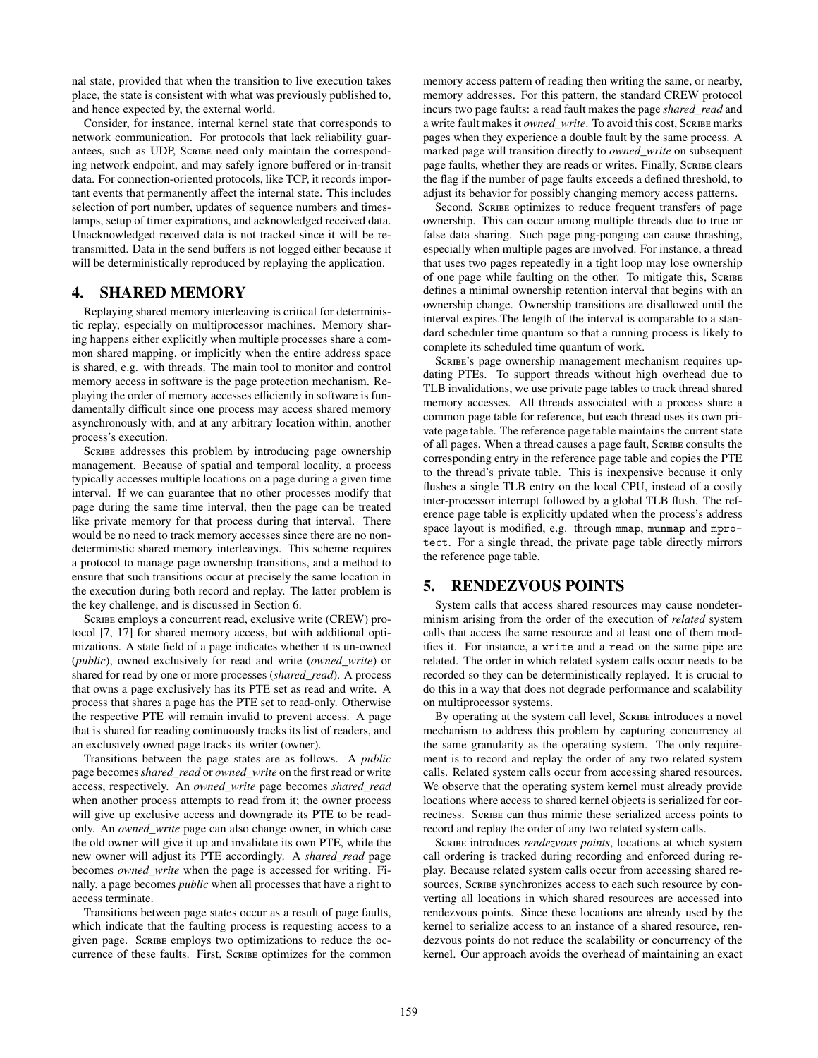nal state, provided that when the transition to live execution takes place, the state is consistent with what was previously published to, and hence expected by, the external world.

Consider, for instance, internal kernel state that corresponds to network communication. For protocols that lack reliability guarantees, such as UDP, SCRIBE need only maintain the corresponding network endpoint, and may safely ignore buffered or in-transit data. For connection-oriented protocols, like TCP, it records important events that permanently affect the internal state. This includes selection of port number, updates of sequence numbers and timestamps, setup of timer expirations, and acknowledged received data. Unacknowledged received data is not tracked since it will be retransmitted. Data in the send buffers is not logged either because it will be deterministically reproduced by replaying the application.

# 4. SHARED MEMORY

Replaying shared memory interleaving is critical for deterministic replay, especially on multiprocessor machines. Memory sharing happens either explicitly when multiple processes share a common shared mapping, or implicitly when the entire address space is shared, e.g. with threads. The main tool to monitor and control memory access in software is the page protection mechanism. Replaying the order of memory accesses efficiently in software is fundamentally difficult since one process may access shared memory asynchronously with, and at any arbitrary location within, another process's execution.

SCRIBE addresses this problem by introducing page ownership management. Because of spatial and temporal locality, a process typically accesses multiple locations on a page during a given time interval. If we can guarantee that no other processes modify that page during the same time interval, then the page can be treated like private memory for that process during that interval. There would be no need to track memory accesses since there are no nondeterministic shared memory interleavings. This scheme requires a protocol to manage page ownership transitions, and a method to ensure that such transitions occur at precisely the same location in the execution during both record and replay. The latter problem is the key challenge, and is discussed in Section 6.

SCRIBE employs a concurrent read, exclusive write (CREW) protocol [7, 17] for shared memory access, but with additional optimizations. A state field of a page indicates whether it is un-owned (*public*), owned exclusively for read and write (*owned\_write*) or shared for read by one or more processes (*shared\_read*). A process that owns a page exclusively has its PTE set as read and write. A process that shares a page has the PTE set to read-only. Otherwise the respective PTE will remain invalid to prevent access. A page that is shared for reading continuously tracks its list of readers, and an exclusively owned page tracks its writer (owner).

Transitions between the page states are as follows. A *public* page becomes*shared\_read* or *owned\_write* on the first read or write access, respectively. An *owned\_write* page becomes *shared\_read* when another process attempts to read from it; the owner process will give up exclusive access and downgrade its PTE to be readonly. An *owned\_write* page can also change owner, in which case the old owner will give it up and invalidate its own PTE, while the new owner will adjust its PTE accordingly. A *shared\_read* page becomes *owned\_write* when the page is accessed for writing. Finally, a page becomes *public* when all processes that have a right to access terminate.

Transitions between page states occur as a result of page faults, which indicate that the faulting process is requesting access to a given page. SCRIBE employs two optimizations to reduce the occurrence of these faults. First, SCRIBE optimizes for the common memory access pattern of reading then writing the same, or nearby, memory addresses. For this pattern, the standard CREW protocol incurs two page faults: a read fault makes the page *shared\_read* and a write fault makes it *owned\_write*. To avoid this cost, SCRIBE marks pages when they experience a double fault by the same process. A marked page will transition directly to *owned\_write* on subsequent page faults, whether they are reads or writes. Finally, SCRIBE clears the flag if the number of page faults exceeds a defined threshold, to adjust its behavior for possibly changing memory access patterns.

Second, SCRIBE optimizes to reduce frequent transfers of page ownership. This can occur among multiple threads due to true or false data sharing. Such page ping-ponging can cause thrashing, especially when multiple pages are involved. For instance, a thread that uses two pages repeatedly in a tight loop may lose ownership of one page while faulting on the other. To mitigate this, S defines a minimal ownership retention interval that begins with an ownership change. Ownership transitions are disallowed until the interval expires.The length of the interval is comparable to a standard scheduler time quantum so that a running process is likely to complete its scheduled time quantum of work.

SCRIBE's page ownership management mechanism requires updating PTEs. To support threads without high overhead due to TLB invalidations, we use private page tables to track thread shared memory accesses. All threads associated with a process share a common page table for reference, but each thread uses its own private page table. The reference page table maintains the current state of all pages. When a thread causes a page fault, SCRIBE consults the corresponding entry in the reference page table and copies the PTE to the thread's private table. This is inexpensive because it only flushes a single TLB entry on the local CPU, instead of a costly inter-processor interrupt followed by a global TLB flush. The reference page table is explicitly updated when the process's address space layout is modified, e.g. through mmap, munmap and mprotect. For a single thread, the private page table directly mirrors the reference page table.

#### 5. RENDEZVOUS POINTS

System calls that access shared resources may cause nondeterminism arising from the order of the execution of *related* system calls that access the same resource and at least one of them modifies it. For instance, a write and a read on the same pipe are related. The order in which related system calls occur needs to be recorded so they can be deterministically replayed. It is crucial to do this in a way that does not degrade performance and scalability on multiprocessor systems.

By operating at the system call level, SCRIBE introduces a novel mechanism to address this problem by capturing concurrency at the same granularity as the operating system. The only requirement is to record and replay the order of any two related system calls. Related system calls occur from accessing shared resources. We observe that the operating system kernel must already provide locations where access to shared kernel objects is serialized for correctness. SCRIBE can thus mimic these serialized access points to record and replay the order of any two related system calls.

SCRIBE introduces *rendezvous points*, locations at which system call ordering is tracked during recording and enforced during replay. Because related system calls occur from accessing shared resources, SCRIBE synchronizes access to each such resource by converting all locations in which shared resources are accessed into rendezvous points. Since these locations are already used by the kernel to serialize access to an instance of a shared resource, rendezvous points do not reduce the scalability or concurrency of the kernel. Our approach avoids the overhead of maintaining an exact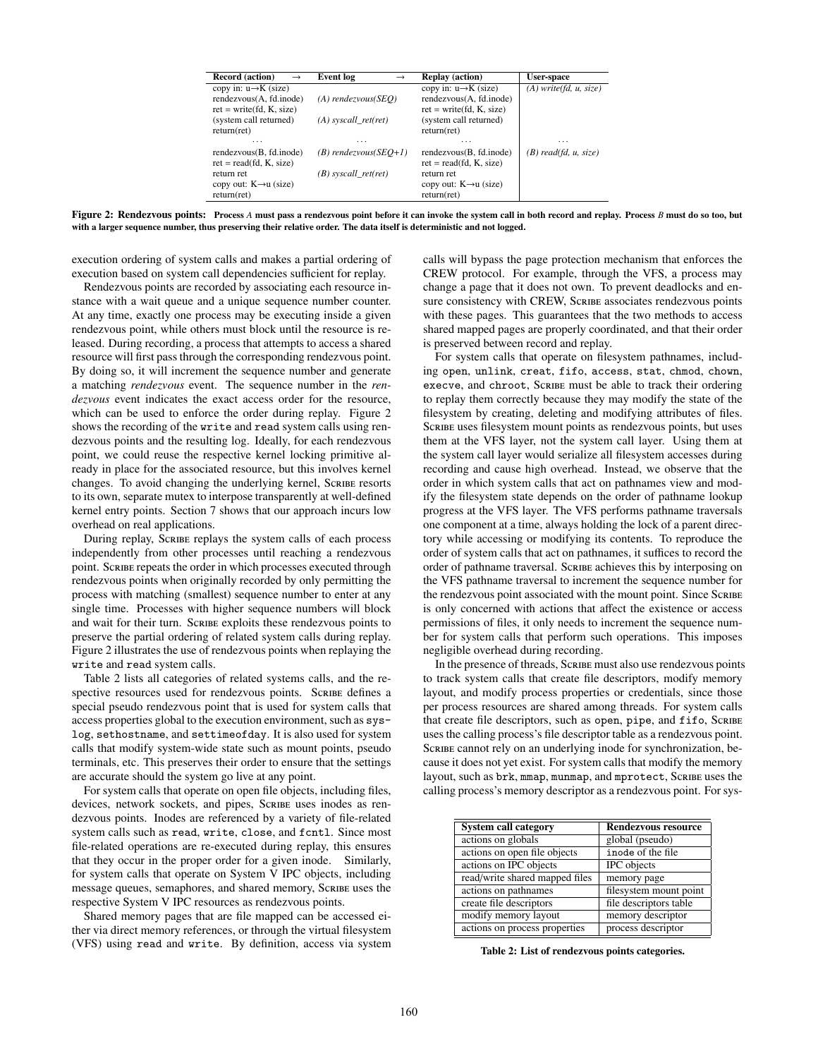| <b>Record (action)</b><br>$\rightarrow$ | Event log<br>$\rightarrow$ | <b>Replay</b> (action)             | User-space                         |
|-----------------------------------------|----------------------------|------------------------------------|------------------------------------|
| copy in: $u \rightarrow K$ (size)       |                            | copy in: $u \rightarrow K$ (size)  | $(A)$ write( $fd$ , $u$ , $size$ ) |
| rendezvous(A, fd.inode)                 | $(A)$ rendezvous(SEO)      | rendezvous(A, fd.inode)            |                                    |
| $ret = write(fd, K, size)$              |                            | $ret = write(fd, K, size)$         |                                    |
| (system call returned)                  | $(A)$ syscall ret(ret)     | (system call returned)             |                                    |
| return (ret)                            |                            | return (ret)                       |                                    |
| $\cdot$ $\cdot$ $\cdot$                 | .                          | .                                  | $\cdot$ $\cdot$ $\cdot$            |
| rendezvous(B, fd.inode)                 | $(B)$ rendezvous(SEO+1)    | rendezvous(B, fd.inode)            | $(B)$ read(fd, u, size)            |
| $ret = read(fd, K, size)$               |                            | $ret = read(fd, K, size)$          |                                    |
| return ret                              | $(B)$ syscall ret(ret)     | return ret                         |                                    |
| copy out: $K \rightarrow u$ (size)      |                            | copy out: $K \rightarrow u$ (size) |                                    |
| return (ret)                            |                            | return (ret)                       |                                    |

Figure 2: Rendezvous points: Process *A* must pass a rendezvous point before it can invoke the system call in both record and replay. Process *B* must do so too, but with a larger sequence number, thus preserving their relative order. The data itself is deterministic and not logged.

execution ordering of system calls and makes a partial ordering of execution based on system call dependencies sufficient for replay.

Rendezvous points are recorded by associating each resource instance with a wait queue and a unique sequence number counter. At any time, exactly one process may be executing inside a given rendezvous point, while others must block until the resource is released. During recording, a process that attempts to access a shared resource will first pass through the corresponding rendezvous point. By doing so, it will increment the sequence number and generate a matching *rendezvous* event. The sequence number in the *rendezvous* event indicates the exact access order for the resource, which can be used to enforce the order during replay. Figure 2 shows the recording of the write and read system calls using rendezvous points and the resulting log. Ideally, for each rendezvous point, we could reuse the respective kernel locking primitive already in place for the associated resource, but this involves kernel changes. To avoid changing the underlying kernel, SCRIBE resorts to its own, separate mutex to interpose transparently at well-defined kernel entry points. Section 7 shows that our approach incurs low overhead on real applications.

During replay, SCRIBE replays the system calls of each process independently from other processes until reaching a rendezvous point. SCRIBE repeats the order in which processes executed through rendezvous points when originally recorded by only permitting the process with matching (smallest) sequence number to enter at any single time. Processes with higher sequence numbers will block and wait for their turn. SCRIBE exploits these rendezvous points to preserve the partial ordering of related system calls during replay. Figure 2 illustrates the use of rendezvous points when replaying the write and read system calls.

Table 2 lists all categories of related systems calls, and the respective resources used for rendezvous points. SCRIBE defines a special pseudo rendezvous point that is used for system calls that access properties global to the execution environment, such as syslog, sethostname, and settimeofday. It is also used for system calls that modify system-wide state such as mount points, pseudo terminals, etc. This preserves their order to ensure that the settings are accurate should the system go live at any point.

For system calls that operate on open file objects, including files, devices, network sockets, and pipes, SCRIBE uses inodes as rendezvous points. Inodes are referenced by a variety of file-related system calls such as read, write, close, and fcntl. Since most file-related operations are re-executed during replay, this ensures that they occur in the proper order for a given inode. Similarly, for system calls that operate on System V IPC objects, including message queues, semaphores, and shared memory, SCRIBE uses the respective System V IPC resources as rendezvous points.

Shared memory pages that are file mapped can be accessed either via direct memory references, or through the virtual filesystem (VFS) using read and write. By definition, access via system calls will bypass the page protection mechanism that enforces the CREW protocol. For example, through the VFS, a process may change a page that it does not own. To prevent deadlocks and ensure consistency with CREW, SCRIBE associates rendezvous points with these pages. This guarantees that the two methods to access shared mapped pages are properly coordinated, and that their order is preserved between record and replay.

For system calls that operate on filesystem pathnames, including open, unlink, creat, fifo, access, stat, chmod, chown, execve, and chroot, SCRIBE must be able to track their ordering to replay them correctly because they may modify the state of the filesystem by creating, deleting and modifying attributes of files. SCRIBE uses filesystem mount points as rendezvous points, but uses them at the VFS layer, not the system call layer. Using them at the system call layer would serialize all filesystem accesses during recording and cause high overhead. Instead, we observe that the order in which system calls that act on pathnames view and modify the filesystem state depends on the order of pathname lookup progress at the VFS layer. The VFS performs pathname traversals one component at a time, always holding the lock of a parent directory while accessing or modifying its contents. To reproduce the order of system calls that act on pathnames, it suffices to record the order of pathname traversal. SCRIBE achieves this by interposing on the VFS pathname traversal to increment the sequence number for the rendezvous point associated with the mount point. Since S is only concerned with actions that affect the existence or access permissions of files, it only needs to increment the sequence number for system calls that perform such operations. This imposes negligible overhead during recording.

In the presence of threads, SCRIBE must also use rendezvous points to track system calls that create file descriptors, modify memory layout, and modify process properties or credentials, since those per process resources are shared among threads. For system calls that create file descriptors, such as open, pipe, and fifo, S uses the calling process's file descriptor table as a rendezvous point. SCRIBE cannot rely on an underlying inode for synchronization, because it does not yet exist. For system calls that modify the memory layout, such as brk, mmap, munmap, and mprotect, SCRIBE uses the calling process's memory descriptor as a rendezvous point. For sys-

| <b>System call category</b>    | <b>Rendezvous resource</b> |
|--------------------------------|----------------------------|
| actions on globals             | global (pseudo)            |
| actions on open file objects   | inode of the file          |
| actions on IPC objects         | IPC objects                |
| read/write shared mapped files | memory page                |
| actions on pathnames           | filesystem mount point     |
| create file descriptors        | file descriptors table     |
| modify memory layout           | memory descriptor          |
| actions on process properties  | process descriptor         |

Table 2: List of rendezvous points categories.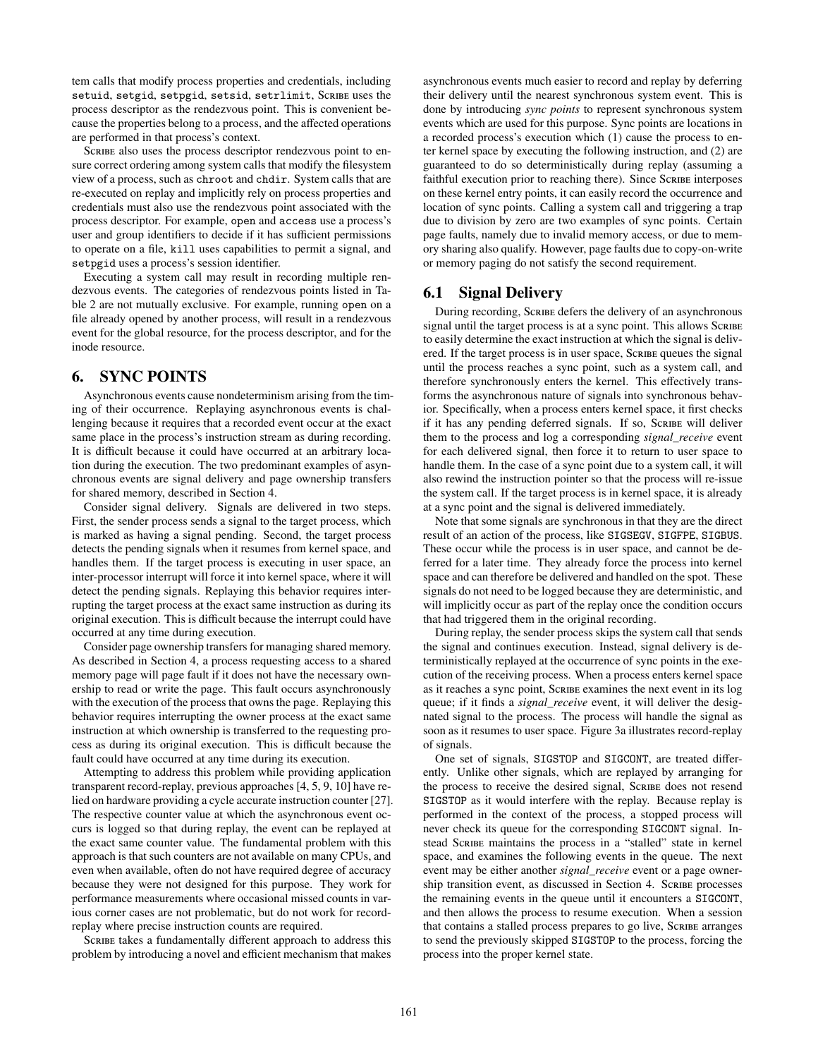tem calls that modify process properties and credentials, including setuid, setgid, setpgid, setsid, setrlimit, SCRIBE uses the process descriptor as the rendezvous point. This is convenient because the properties belong to a process, and the affected operations are performed in that process's context.

SCRIBE also uses the process descriptor rendezvous point to ensure correct ordering among system calls that modify the filesystem view of a process, such as chroot and chdir. System calls that are re-executed on replay and implicitly rely on process properties and credentials must also use the rendezvous point associated with the process descriptor. For example, open and access use a process's user and group identifiers to decide if it has sufficient permissions to operate on a file, kill uses capabilities to permit a signal, and setpgid uses a process's session identifier.

Executing a system call may result in recording multiple rendezvous events. The categories of rendezvous points listed in Table 2 are not mutually exclusive. For example, running open on a file already opened by another process, will result in a rendezvous event for the global resource, for the process descriptor, and for the inode resource.

# 6. SYNC POINTS

Asynchronous events cause nondeterminism arising from the timing of their occurrence. Replaying asynchronous events is challenging because it requires that a recorded event occur at the exact same place in the process's instruction stream as during recording. It is difficult because it could have occurred at an arbitrary location during the execution. The two predominant examples of asynchronous events are signal delivery and page ownership transfers for shared memory, described in Section 4.

Consider signal delivery. Signals are delivered in two steps. First, the sender process sends a signal to the target process, which is marked as having a signal pending. Second, the target process detects the pending signals when it resumes from kernel space, and handles them. If the target process is executing in user space, an inter-processor interrupt will force it into kernel space, where it will detect the pending signals. Replaying this behavior requires interrupting the target process at the exact same instruction as during its original execution. This is difficult because the interrupt could have occurred at any time during execution.

Consider page ownership transfers for managing shared memory. As described in Section 4, a process requesting access to a shared memory page will page fault if it does not have the necessary ownership to read or write the page. This fault occurs asynchronously with the execution of the process that owns the page. Replaying this behavior requires interrupting the owner process at the exact same instruction at which ownership is transferred to the requesting process as during its original execution. This is difficult because the fault could have occurred at any time during its execution.

Attempting to address this problem while providing application transparent record-replay, previous approaches [4, 5, 9, 10] have relied on hardware providing a cycle accurate instruction counter [27]. The respective counter value at which the asynchronous event occurs is logged so that during replay, the event can be replayed at the exact same counter value. The fundamental problem with this approach is that such counters are not available on many CPUs, and even when available, often do not have required degree of accuracy because they were not designed for this purpose. They work for performance measurements where occasional missed counts in various corner cases are not problematic, but do not work for recordreplay where precise instruction counts are required.

SCRIBE takes a fundamentally different approach to address this problem by introducing a novel and efficient mechanism that makes asynchronous events much easier to record and replay by deferring their delivery until the nearest synchronous system event. This is done by introducing *sync points* to represent synchronous system events which are used for this purpose. Sync points are locations in a recorded process's execution which (1) cause the process to enter kernel space by executing the following instruction, and (2) are guaranteed to do so deterministically during replay (assuming a faithful execution prior to reaching there). Since SCRIBE interposes on these kernel entry points, it can easily record the occurrence and location of sync points. Calling a system call and triggering a trap due to division by zero are two examples of sync points. Certain page faults, namely due to invalid memory access, or due to memory sharing also qualify. However, page faults due to copy-on-write or memory paging do not satisfy the second requirement.

# 6.1 Signal Delivery

During recording, SCRIBE defers the delivery of an asynchronous signal until the target process is at a sync point. This allows SCRIBE to easily determine the exact instruction at which the signal is delivered. If the target process is in user space, SCRIBE queues the signal until the process reaches a sync point, such as a system call, and therefore synchronously enters the kernel. This effectively transforms the asynchronous nature of signals into synchronous behavior. Specifically, when a process enters kernel space, it first checks if it has any pending deferred signals. If so, SCRIBE will deliver them to the process and log a corresponding *signal\_receive* event for each delivered signal, then force it to return to user space to handle them. In the case of a sync point due to a system call, it will also rewind the instruction pointer so that the process will re-issue the system call. If the target process is in kernel space, it is already at a sync point and the signal is delivered immediately.

Note that some signals are synchronous in that they are the direct result of an action of the process, like SIGSEGV, SIGFPE, SIGBUS. These occur while the process is in user space, and cannot be deferred for a later time. They already force the process into kernel space and can therefore be delivered and handled on the spot. These signals do not need to be logged because they are deterministic, and will implicitly occur as part of the replay once the condition occurs that had triggered them in the original recording.

During replay, the sender process skips the system call that sends the signal and continues execution. Instead, signal delivery is deterministically replayed at the occurrence of sync points in the execution of the receiving process. When a process enters kernel space as it reaches a sync point, SCRIBE examines the next event in its log queue; if it finds a *signal\_receive* event, it will deliver the designated signal to the process. The process will handle the signal as soon as it resumes to user space. Figure 3a illustrates record-replay of signals.

One set of signals, SIGSTOP and SIGCONT, are treated differently. Unlike other signals, which are replayed by arranging for the process to receive the desired signal, SCRIBE does not resend SIGSTOP as it would interfere with the replay. Because replay is performed in the context of the process, a stopped process will never check its queue for the corresponding SIGCONT signal. Instead SCRIBE maintains the process in a "stalled" state in kernel space, and examines the following events in the queue. The next event may be either another *signal\_receive* event or a page ownership transition event, as discussed in Section 4. SCRIBE processes the remaining events in the queue until it encounters a SIGCONT, and then allows the process to resume execution. When a session that contains a stalled process prepares to go live, SCRIBE arranges to send the previously skipped SIGSTOP to the process, forcing the process into the proper kernel state.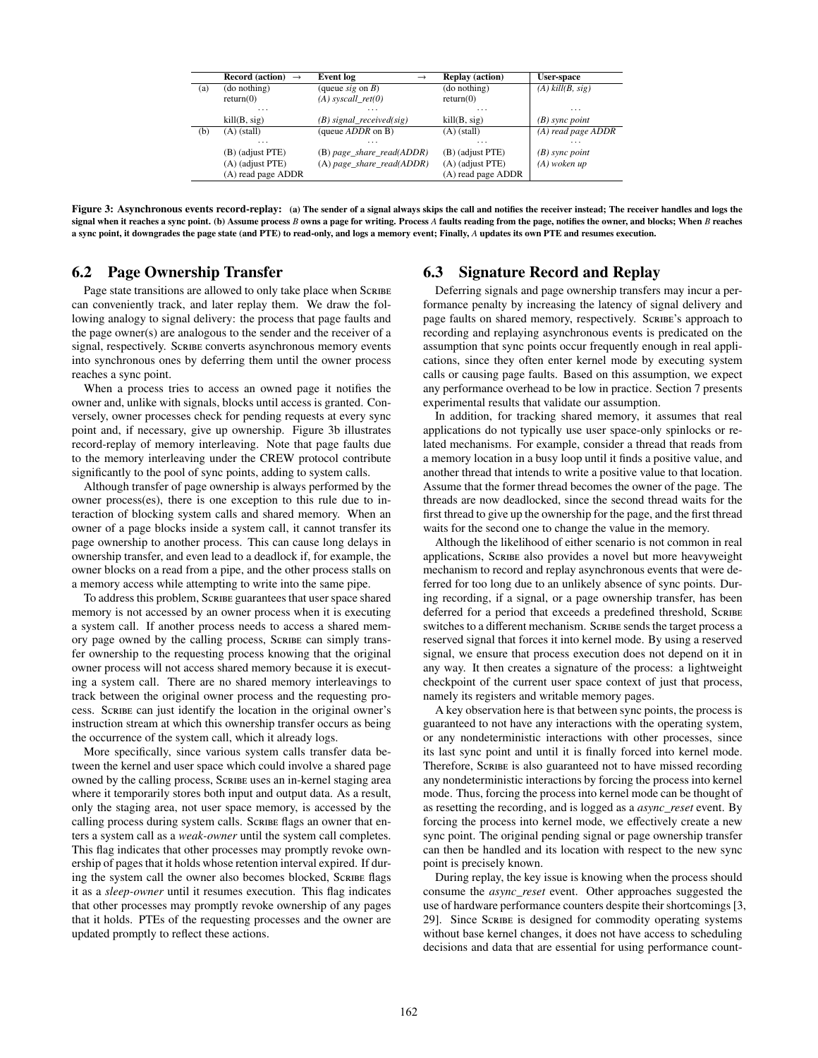|     | <b>Record (action)</b><br>$\rightarrow$ | <b>Event</b> log<br>$\rightarrow$ | <b>Replay (action)</b> | User-space              |
|-----|-----------------------------------------|-----------------------------------|------------------------|-------------------------|
| (a) | (do nothing)                            | (queue sig on $B$ )               | (do nothing)           | $(A)$ kill $(B, sig)$   |
|     | return(0)                               | $(A)$ syscall ret $(0)$           | return(0)              |                         |
|     | $\cdot$ $\cdot$ $\cdot$                 | $\cdot$ $\cdot$ $\cdot$           | $\cdots$               | $\cdot$ $\cdot$ $\cdot$ |
|     | kill(B, sig)                            | $(B)$ signal_received(sig)        | kill(B, sig)           | $(B)$ sync point        |
| (b) | $(A)$ (stall)                           | (queue $ADDR$ on B)               | $(A)$ (stall)          | $(A)$ read page $ADDR$  |
|     | $\cdot$ $\cdot$ $\cdot$                 | $\cdot$ $\cdot$ $\cdot$           | $\cdots$               | $\cdot$ $\cdot$ $\cdot$ |
|     | (B) (adjust PTE)                        | (B) page_share_read(ADDR)         | (B) (adjust PTE)       | $(B)$ sync point        |
|     | $(A)$ (adjust PTE)                      | $(A)$ page_share_read $(ADDR)$    | (A) (adjust PTE)       | $(A)$ woken up          |
|     | (A) read page ADDR                      |                                   | (A) read page ADDR     |                         |

Figure 3: Asynchronous events record-replay: (a) The sender of a signal always skips the call and notifies the receiver instead; The receiver handles and logs the signal when it reaches a sync point. (b) Assume process *B* owns a page for writing. Process *A* faults reading from the page, notifies the owner, and blocks; When *B* reaches a sync point, it downgrades the page state (and PTE) to read-only, and logs a memory event; Finally, *A* updates its own PTE and resumes execution.

## 6.2 Page Ownership Transfer

Page state transitions are allowed to only take place when SCRIBE can conveniently track, and later replay them. We draw the following analogy to signal delivery: the process that page faults and the page owner(s) are analogous to the sender and the receiver of a signal, respectively. SCRIBE converts asynchronous memory events into synchronous ones by deferring them until the owner process reaches a sync point.

When a process tries to access an owned page it notifies the owner and, unlike with signals, blocks until access is granted. Conversely, owner processes check for pending requests at every sync point and, if necessary, give up ownership. Figure 3b illustrates record-replay of memory interleaving. Note that page faults due to the memory interleaving under the CREW protocol contribute significantly to the pool of sync points, adding to system calls.

Although transfer of page ownership is always performed by the owner process(es), there is one exception to this rule due to interaction of blocking system calls and shared memory. When an owner of a page blocks inside a system call, it cannot transfer its page ownership to another process. This can cause long delays in ownership transfer, and even lead to a deadlock if, for example, the owner blocks on a read from a pipe, and the other process stalls on a memory access while attempting to write into the same pipe.

To address this problem, SCRIBE guarantees that user space shared memory is not accessed by an owner process when it is executing a system call. If another process needs to access a shared memory page owned by the calling process, SCRIBE can simply transfer ownership to the requesting process knowing that the original owner process will not access shared memory because it is executing a system call. There are no shared memory interleavings to track between the original owner process and the requesting process. SCRIBE can just identify the location in the original owner's instruction stream at which this ownership transfer occurs as being the occurrence of the system call, which it already logs.

More specifically, since various system calls transfer data between the kernel and user space which could involve a shared page owned by the calling process, SCRIBE uses an in-kernel staging area where it temporarily stores both input and output data. As a result, only the staging area, not user space memory, is accessed by the calling process during system calls. SCRIBE flags an owner that enters a system call as a *weak-owner* until the system call completes. This flag indicates that other processes may promptly revoke ownership of pages that it holds whose retention interval expired. If during the system call the owner also becomes blocked, SCRIBE flags it as a *sleep-owner* until it resumes execution. This flag indicates that other processes may promptly revoke ownership of any pages that it holds. PTEs of the requesting processes and the owner are updated promptly to reflect these actions.

# 6.3 Signature Record and Replay

Deferring signals and page ownership transfers may incur a performance penalty by increasing the latency of signal delivery and page faults on shared memory, respectively. SCRIBE's approach to recording and replaying asynchronous events is predicated on the assumption that sync points occur frequently enough in real applications, since they often enter kernel mode by executing system calls or causing page faults. Based on this assumption, we expect any performance overhead to be low in practice. Section 7 presents experimental results that validate our assumption.

In addition, for tracking shared memory, it assumes that real applications do not typically use user space-only spinlocks or related mechanisms. For example, consider a thread that reads from a memory location in a busy loop until it finds a positive value, and another thread that intends to write a positive value to that location. Assume that the former thread becomes the owner of the page. The threads are now deadlocked, since the second thread waits for the first thread to give up the ownership for the page, and the first thread waits for the second one to change the value in the memory.

Although the likelihood of either scenario is not common in real applications, SCRIBE also provides a novel but more heavyweight mechanism to record and replay asynchronous events that were deferred for too long due to an unlikely absence of sync points. During recording, if a signal, or a page ownership transfer, has been deferred for a period that exceeds a predefined threshold, S switches to a different mechanism. SCRIBE sends the target process a reserved signal that forces it into kernel mode. By using a reserved signal, we ensure that process execution does not depend on it in any way. It then creates a signature of the process: a lightweight checkpoint of the current user space context of just that process, namely its registers and writable memory pages.

A key observation here is that between sync points, the process is guaranteed to not have any interactions with the operating system, or any nondeterministic interactions with other processes, since its last sync point and until it is finally forced into kernel mode. Therefore, SCRIBE is also guaranteed not to have missed recording any nondeterministic interactions by forcing the process into kernel mode. Thus, forcing the process into kernel mode can be thought of as resetting the recording, and is logged as a *async\_reset* event. By forcing the process into kernel mode, we effectively create a new sync point. The original pending signal or page ownership transfer can then be handled and its location with respect to the new sync point is precisely known.

During replay, the key issue is knowing when the process should consume the *async\_reset* event. Other approaches suggested the use of hardware performance counters despite their shortcomings [3, 29]. Since SCRIBE is designed for commodity operating systems without base kernel changes, it does not have access to scheduling decisions and data that are essential for using performance count-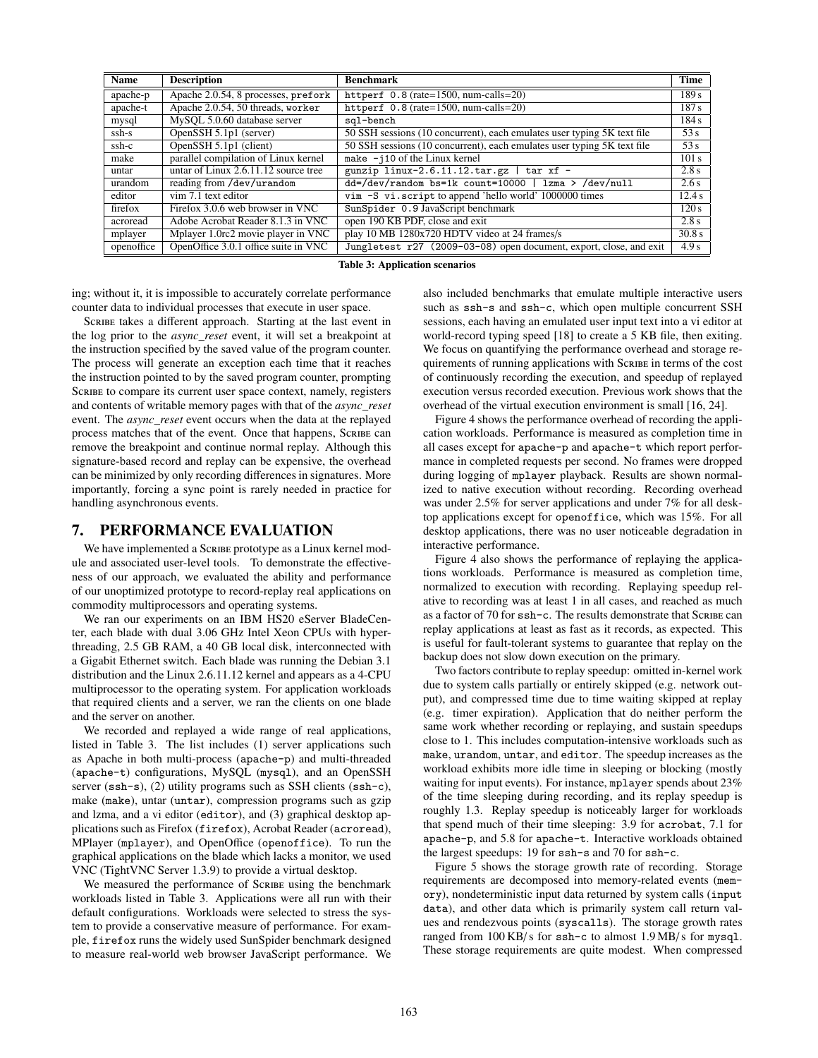| <b>Name</b> | <b>Description</b>                   | <b>Benchmark</b>                                                        | <b>Time</b>      |
|-------------|--------------------------------------|-------------------------------------------------------------------------|------------------|
| apache-p    | Apache 2.0.54, 8 processes, prefork  | httperf $\overline{0.8 \text{ (rate=1500, num-calls=20)}}$              | 189 <sub>s</sub> |
| apache-t    | Apache 2.0.54, 50 threads, worker    | httperf $0.8$ (rate=1500, num-calls=20)                                 | 187 <sub>s</sub> |
| mysql       | MySQL 5.0.60 database server         | sql-bench                                                               | 184s             |
| ssh-s       | OpenSSH 5.1p1 (server)               | 50 SSH sessions (10 concurrent), each emulates user typing 5K text file | 53 s             |
| $s$ sh-c    | OpenSSH 5.1p1 (client)               | 50 SSH sessions (10 concurrent), each emulates user typing 5K text file | $\overline{53s}$ |
| make        | parallel compilation of Linux kernel | make $-$ j10 of the Linux kernel                                        | 101 s            |
| untar       | untar of Linux 2.6.11.12 source tree | gunzip linux-2.6.11.12.tar.gz   tar xf -                                | 2.8 s            |
| urandom     | reading from /dev/urandom            | $dd=$ /dev/random bs=1k count=10000   lzma > /dev/null                  | 2.6s             |
| editor      | vim 7.1 text editor                  | vim -S vi.script to append 'hello world' 1000000 times                  | 12.4s            |
| firefox     | Firefox 3.0.6 web browser in VNC     | SunSpider 0.9 JavaScript benchmark                                      | 120s             |
| acroread    | Adobe Acrobat Reader 8.1.3 in VNC    | open 190 KB PDF, close and exit                                         | 2.8 s            |
| mplayer     | Mplayer 1.0rc2 movie player in VNC   | play 10 MB 1280x720 HDTV video at 24 frames/s                           | 30.8 s           |
| openoffice  | OpenOffice 3.0.1 office suite in VNC | Jungletest r27 (2009-03-08) open document, export, close, and exit      | 4.9 s            |

Table 3: Application scenarios

ing; without it, it is impossible to accurately correlate performance counter data to individual processes that execute in user space.

SCRIBE takes a different approach. Starting at the last event in the log prior to the *async\_reset* event, it will set a breakpoint at the instruction specified by the saved value of the program counter. The process will generate an exception each time that it reaches the instruction pointed to by the saved program counter, prompting SCRIBE to compare its current user space context, namely, registers and contents of writable memory pages with that of the *async\_reset* event. The *async\_reset* event occurs when the data at the replayed process matches that of the event. Once that happens, SCRIBE can remove the breakpoint and continue normal replay. Although this signature-based record and replay can be expensive, the overhead can be minimized by only recording differences in signatures. More importantly, forcing a sync point is rarely needed in practice for handling asynchronous events.

# 7. PERFORMANCE EVALUATION

We have implemented a SCRIBE prototype as a Linux kernel module and associated user-level tools. To demonstrate the effectiveness of our approach, we evaluated the ability and performance of our unoptimized prototype to record-replay real applications on commodity multiprocessors and operating systems.

We ran our experiments on an IBM HS20 eServer BladeCenter, each blade with dual 3.06 GHz Intel Xeon CPUs with hyperthreading, 2.5 GB RAM, a 40 GB local disk, interconnected with a Gigabit Ethernet switch. Each blade was running the Debian 3.1 distribution and the Linux 2.6.11.12 kernel and appears as a 4-CPU multiprocessor to the operating system. For application workloads that required clients and a server, we ran the clients on one blade and the server on another.

We recorded and replayed a wide range of real applications, listed in Table 3. The list includes (1) server applications such as Apache in both multi-process (apache-p) and multi-threaded (apache-t) configurations, MySQL (mysql), and an OpenSSH server (ssh-s), (2) utility programs such as SSH clients (ssh-c), make (make), untar (untar), compression programs such as gzip and lzma, and a vi editor (editor), and (3) graphical desktop applications such as Firefox (firefox), Acrobat Reader (acroread), MPlayer (mplayer), and OpenOffice (openoffice). To run the graphical applications on the blade which lacks a monitor, we used VNC (TightVNC Server 1.3.9) to provide a virtual desktop.

We measured the performance of SCRIBE using the benchmark workloads listed in Table 3. Applications were all run with their default configurations. Workloads were selected to stress the system to provide a conservative measure of performance. For example, firefox runs the widely used SunSpider benchmark designed to measure real-world web browser JavaScript performance. We

also included benchmarks that emulate multiple interactive users such as  $ssh-s$  and  $ssh-c$ , which open multiple concurrent SSH sessions, each having an emulated user input text into a vi editor at world-record typing speed [18] to create a 5 KB file, then exiting. We focus on quantifying the performance overhead and storage requirements of running applications with SCRIBE in terms of the cost of continuously recording the execution, and speedup of replayed execution versus recorded execution. Previous work shows that the overhead of the virtual execution environment is small [16, 24].

Figure 4 shows the performance overhead of recording the application workloads. Performance is measured as completion time in all cases except for apache-p and apache-t which report performance in completed requests per second. No frames were dropped during logging of mplayer playback. Results are shown normalized to native execution without recording. Recording overhead was under 2.5% for server applications and under 7% for all desktop applications except for openoffice, which was 15%. For all desktop applications, there was no user noticeable degradation in interactive performance.

Figure 4 also shows the performance of replaying the applications workloads. Performance is measured as completion time, normalized to execution with recording. Replaying speedup relative to recording was at least 1 in all cases, and reached as much as a factor of 70 for ssh-c. The results demonstrate that SCRIBE can replay applications at least as fast as it records, as expected. This is useful for fault-tolerant systems to guarantee that replay on the backup does not slow down execution on the primary.

Two factors contribute to replay speedup: omitted in-kernel work due to system calls partially or entirely skipped (e.g. network output), and compressed time due to time waiting skipped at replay (e.g. timer expiration). Application that do neither perform the same work whether recording or replaying, and sustain speedups close to 1. This includes computation-intensive workloads such as make, urandom, untar, and editor. The speedup increases as the workload exhibits more idle time in sleeping or blocking (mostly waiting for input events). For instance, mplayer spends about 23% of the time sleeping during recording, and its replay speedup is roughly 1.3. Replay speedup is noticeably larger for workloads that spend much of their time sleeping: 3.9 for acrobat, 7.1 for apache-p, and 5.8 for apache-t. Interactive workloads obtained the largest speedups: 19 for ssh-s and 70 for ssh-c.

Figure 5 shows the storage growth rate of recording. Storage requirements are decomposed into memory-related events (memory), nondeterministic input data returned by system calls (input data), and other data which is primarily system call return values and rendezvous points (syscalls). The storage growth rates ranged from 100 KB/s for ssh-c to almost 1.9 MB/s for mysql. These storage requirements are quite modest. When compressed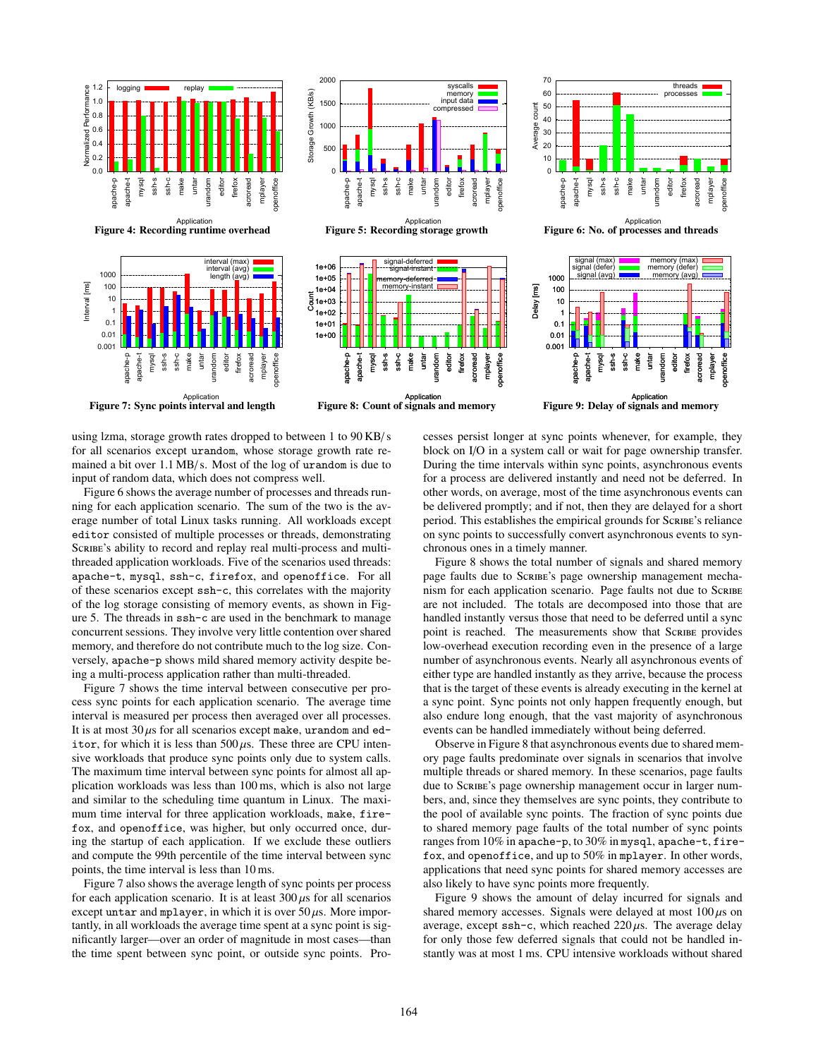

using lzma, storage growth rates dropped to between 1 to 90 KB/s for all scenarios except urandom, whose storage growth rate remained a bit over 1.1 MB/s. Most of the log of urandom is due to input of random data, which does not compress well.

Figure 6 shows the average number of processes and threads running for each application scenario. The sum of the two is the average number of total Linux tasks running. All workloads except editor consisted of multiple processes or threads, demonstrating SCRIBE's ability to record and replay real multi-process and multithreaded application workloads. Five of the scenarios used threads: apache-t, mysql, ssh-c, firefox, and openoffice. For all of these scenarios except ssh-c, this correlates with the majority of the log storage consisting of memory events, as shown in Figure 5. The threads in ssh-c are used in the benchmark to manage concurrent sessions. They involve very little contention over shared memory, and therefore do not contribute much to the log size. Conversely, apache-p shows mild shared memory activity despite being a multi-process application rather than multi-threaded.

Figure 7 shows the time interval between consecutive per process sync points for each application scenario. The average time interval is measured per process then averaged over all processes. It is at most  $30 \mu s$  for all scenarios except make, urandom and editor, for which it is less than  $500 \mu s$ . These three are CPU intensive workloads that produce sync points only due to system calls. The maximum time interval between sync points for almost all application workloads was less than 100 ms, which is also not large and similar to the scheduling time quantum in Linux. The maximum time interval for three application workloads, make, firefox, and openoffice, was higher, but only occurred once, during the startup of each application. If we exclude these outliers and compute the 99th percentile of the time interval between sync points, the time interval is less than 10 ms.

Figure 7 also shows the average length of sync points per process for each application scenario. It is at least  $300 \mu s$  for all scenarios except untar and mplayer, in which it is over  $50 \mu s$ . More importantly, in all workloads the average time spent at a sync point is significantly larger—over an order of magnitude in most cases—than the time spent between sync point, or outside sync points. Processes persist longer at sync points whenever, for example, they block on I/O in a system call or wait for page ownership transfer. During the time intervals within sync points, asynchronous events for a process are delivered instantly and need not be deferred. In other words, on average, most of the time asynchronous events can be delivered promptly; and if not, then they are delayed for a short period. This establishes the empirical grounds for SCRIBE's reliance on sync points to successfully convert asynchronous events to synchronous ones in a timely manner.

Figure 8 shows the total number of signals and shared memory page faults due to SCRIBE's page ownership management mechanism for each application scenario. Page faults not due to S are not included. The totals are decomposed into those that are handled instantly versus those that need to be deferred until a sync point is reached. The measurements show that SCRIBE provides low-overhead execution recording even in the presence of a large number of asynchronous events. Nearly all asynchronous events of either type are handled instantly as they arrive, because the process that is the target of these events is already executing in the kernel at a sync point. Sync points not only happen frequently enough, but also endure long enough, that the vast majority of asynchronous events can be handled immediately without being deferred.

Observe in Figure 8 that asynchronous events due to shared memory page faults predominate over signals in scenarios that involve multiple threads or shared memory. In these scenarios, page faults due to SCRIBE's page ownership management occur in larger numbers, and, since they themselves are sync points, they contribute to the pool of available sync points. The fraction of sync points due to shared memory page faults of the total number of sync points ranges from 10% in apache-p, to 30% in mysql, apache-t, firefox, and openoffice, and up to 50% in mplayer. In other words, applications that need sync points for shared memory accesses are also likely to have sync points more frequently.

Figure 9 shows the amount of delay incurred for signals and shared memory accesses. Signals were delayed at most  $100 \mu s$  on average, except ssh-c, which reached  $220 \mu s$ . The average delay for only those few deferred signals that could not be handled instantly was at most 1 ms. CPU intensive workloads without shared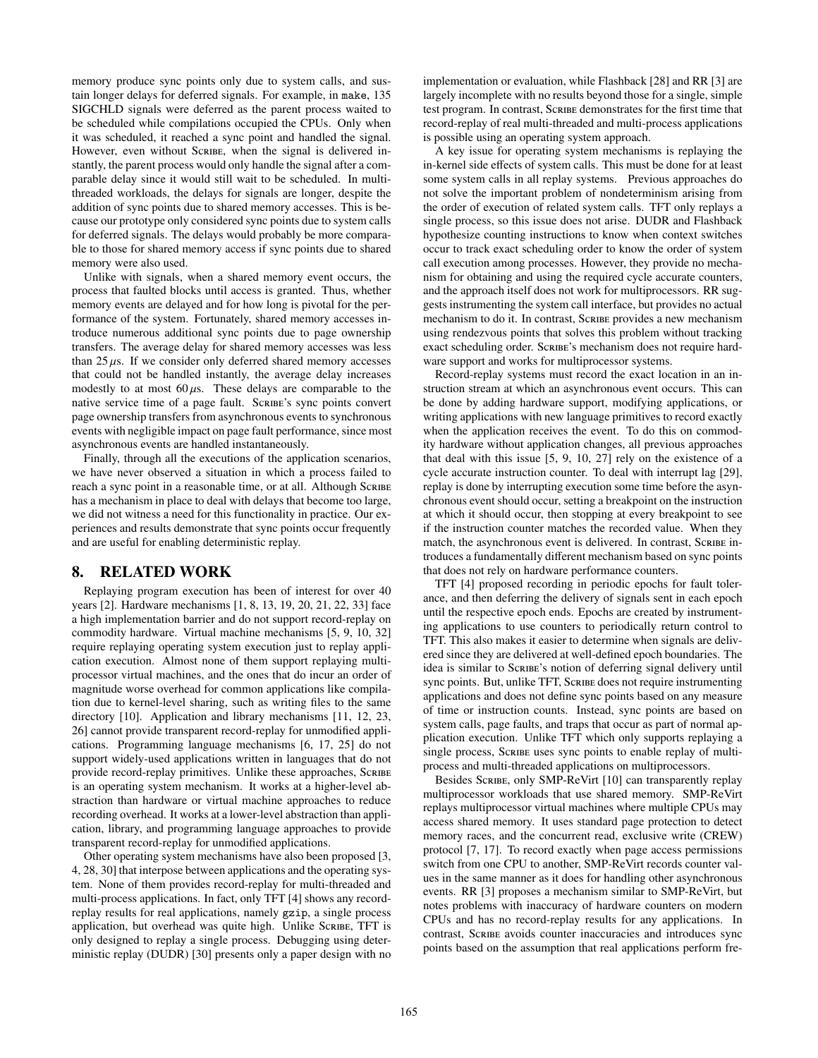memory produce sync points only due to system calls, and sustain longer delays for deferred signals. For example, in make, 135 SIGCHLD signals were deferred as the parent process waited to be scheduled while compilations occupied the CPUs. Only when it was scheduled, it reached a sync point and handled the signal. However, even without SCRIBE, when the signal is delivered instantly, the parent process would only handle the signal after a comparable delay since it would still wait to be scheduled. In multithreaded workloads, the delays for signals are longer, despite the addition of sync points due to shared memory accesses. This is because our prototype only considered sync points due to system calls for deferred signals. The delays would probably be more comparable to those for shared memory access if sync points due to shared memory were also used.

Unlike with signals, when a shared memory event occurs, the process that faulted blocks until access is granted. Thus, whether memory events are delayed and for how long is pivotal for the performance of the system. Fortunately, shared memory accesses introduce numerous additional sync points due to page ownership transfers. The average delay for shared memory accesses was less than  $25 \mu s$ . If we consider only deferred shared memory accesses that could not be handled instantly, the average delay increases modestly to at most  $60 \mu s$ . These delays are comparable to the native service time of a page fault. SCRIBE's sync points convert page ownership transfers from asynchronous events to synchronous events with negligible impact on page fault performance, since most asynchronous events are handled instantaneously.

Finally, through all the executions of the application scenarios, we have never observed a situation in which a process failed to reach a sync point in a reasonable time, or at all. Although S has a mechanism in place to deal with delays that become too large, we did not witness a need for this functionality in practice. Our experiences and results demonstrate that sync points occur frequently and are useful for enabling deterministic replay.

# 8. RELATED WORK

Replaying program execution has been of interest for over 40 years [2]. Hardware mechanisms [1, 8, 13, 19, 20, 21, 22, 33] face a high implementation barrier and do not support record-replay on commodity hardware. Virtual machine mechanisms [5, 9, 10, 32] require replaying operating system execution just to replay application execution. Almost none of them support replaying multiprocessor virtual machines, and the ones that do incur an order of magnitude worse overhead for common applications like compilation due to kernel-level sharing, such as writing files to the same directory [10]. Application and library mechanisms [11, 12, 23, 26] cannot provide transparent record-replay for unmodified applications. Programming language mechanisms [6, 17, 25] do not support widely-used applications written in languages that do not provide record-replay primitives. Unlike these approaches, S is an operating system mechanism. It works at a higher-level abstraction than hardware or virtual machine approaches to reduce recording overhead. It works at a lower-level abstraction than application, library, and programming language approaches to provide transparent record-replay for unmodified applications.

Other operating system mechanisms have also been proposed [3, 4, 28, 30] that interpose between applications and the operating system. None of them provides record-replay for multi-threaded and multi-process applications. In fact, only TFT [4] shows any recordreplay results for real applications, namely gzip, a single process application, but overhead was quite high. Unlike SCRIBE, TFT is only designed to replay a single process. Debugging using deterministic replay (DUDR) [30] presents only a paper design with no

implementation or evaluation, while Flashback [28] and RR [3] are largely incomplete with no results beyond those for a single, simple test program. In contrast, SCRIBE demonstrates for the first time that record-replay of real multi-threaded and multi-process applications is possible using an operating system approach.

A key issue for operating system mechanisms is replaying the in-kernel side effects of system calls. This must be done for at least some system calls in all replay systems. Previous approaches do not solve the important problem of nondeterminism arising from the order of execution of related system calls. TFT only replays a single process, so this issue does not arise. DUDR and Flashback hypothesize counting instructions to know when context switches occur to track exact scheduling order to know the order of system call execution among processes. However, they provide no mechanism for obtaining and using the required cycle accurate counters, and the approach itself does not work for multiprocessors. RR suggests instrumenting the system call interface, but provides no actual mechanism to do it. In contrast, SCRIBE provides a new mechanism using rendezvous points that solves this problem without tracking exact scheduling order. SCRIBE's mechanism does not require hardware support and works for multiprocessor systems.

Record-replay systems must record the exact location in an instruction stream at which an asynchronous event occurs. This can be done by adding hardware support, modifying applications, or writing applications with new language primitives to record exactly when the application receives the event. To do this on commodity hardware without application changes, all previous approaches that deal with this issue [5, 9, 10, 27] rely on the existence of a cycle accurate instruction counter. To deal with interrupt lag [29], replay is done by interrupting execution some time before the asynchronous event should occur, setting a breakpoint on the instruction at which it should occur, then stopping at every breakpoint to see if the instruction counter matches the recorded value. When they match, the asynchronous event is delivered. In contrast, SCRIBE introduces a fundamentally different mechanism based on sync points that does not rely on hardware performance counters.

TFT [4] proposed recording in periodic epochs for fault tolerance, and then deferring the delivery of signals sent in each epoch until the respective epoch ends. Epochs are created by instrumenting applications to use counters to periodically return control to TFT. This also makes it easier to determine when signals are delivered since they are delivered at well-defined epoch boundaries. The idea is similar to SCRIBE's notion of deferring signal delivery until sync points. But, unlike TFT, SCRIBE does not require instrumenting applications and does not define sync points based on any measure of time or instruction counts. Instead, sync points are based on system calls, page faults, and traps that occur as part of normal application execution. Unlike TFT which only supports replaying a single process, SCRIBE uses sync points to enable replay of multiprocess and multi-threaded applications on multiprocessors.

Besides SCRIBE, only SMP-ReVirt [10] can transparently replay multiprocessor workloads that use shared memory. SMP-ReVirt replays multiprocessor virtual machines where multiple CPUs may access shared memory. It uses standard page protection to detect memory races, and the concurrent read, exclusive write (CREW) protocol [7, 17]. To record exactly when page access permissions switch from one CPU to another, SMP-ReVirt records counter values in the same manner as it does for handling other asynchronous events. RR [3] proposes a mechanism similar to SMP-ReVirt, but notes problems with inaccuracy of hardware counters on modern CPUs and has no record-replay results for any applications. In contrast, SCRIBE avoids counter inaccuracies and introduces sync points based on the assumption that real applications perform fre